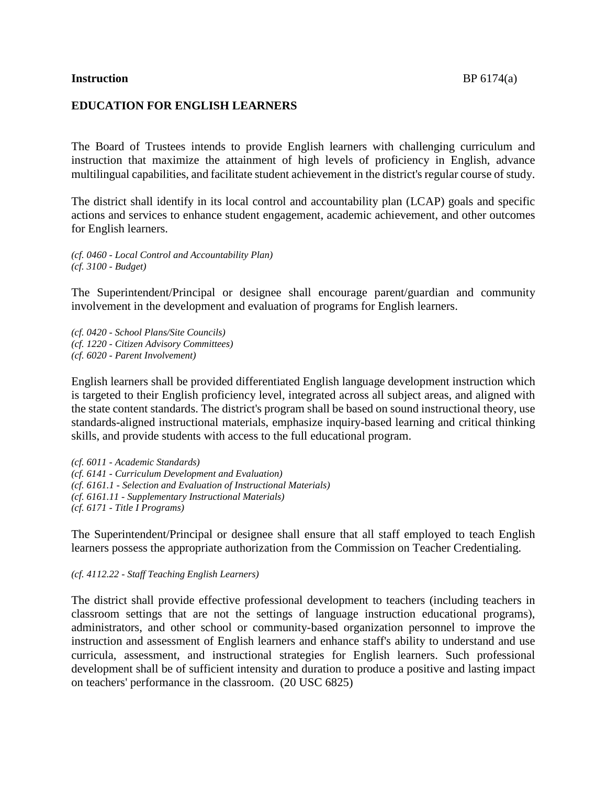### **Instruction** BP 6174(a)

## **EDUCATION FOR ENGLISH LEARNERS**

The Board of Trustees intends to provide English learners with challenging curriculum and instruction that maximize the attainment of high levels of proficiency in English, advance multilingual capabilities, and facilitate student achievement in the district's regular course of study.

The district shall identify in its local control and accountability plan (LCAP) goals and specific actions and services to enhance student engagement, academic achievement, and other outcomes for English learners.

*(cf. 0460 - Local Control and Accountability Plan) (cf. 3100 - Budget)*

The Superintendent/Principal or designee shall encourage parent/guardian and community involvement in the development and evaluation of programs for English learners.

*(cf. 0420 - School Plans/Site Councils) (cf. 1220 - Citizen Advisory Committees) (cf. 6020 - Parent Involvement)*

English learners shall be provided differentiated English language development instruction which is targeted to their English proficiency level, integrated across all subject areas, and aligned with the state content standards. The district's program shall be based on sound instructional theory, use standards-aligned instructional materials, emphasize inquiry-based learning and critical thinking skills, and provide students with access to the full educational program.

*(cf. 6011 - Academic Standards) (cf. 6141 - Curriculum Development and Evaluation) (cf. 6161.1 - Selection and Evaluation of Instructional Materials) (cf. 6161.11 - Supplementary Instructional Materials) (cf. 6171 - Title I Programs)*

The Superintendent/Principal or designee shall ensure that all staff employed to teach English learners possess the appropriate authorization from the Commission on Teacher Credentialing.

*(cf. 4112.22 - Staff Teaching English Learners)*

The district shall provide effective professional development to teachers (including teachers in classroom settings that are not the settings of language instruction educational programs), administrators, and other school or community-based organization personnel to improve the instruction and assessment of English learners and enhance staff's ability to understand and use curricula, assessment, and instructional strategies for English learners. Such professional development shall be of sufficient intensity and duration to produce a positive and lasting impact on teachers' performance in the classroom. (20 USC 6825)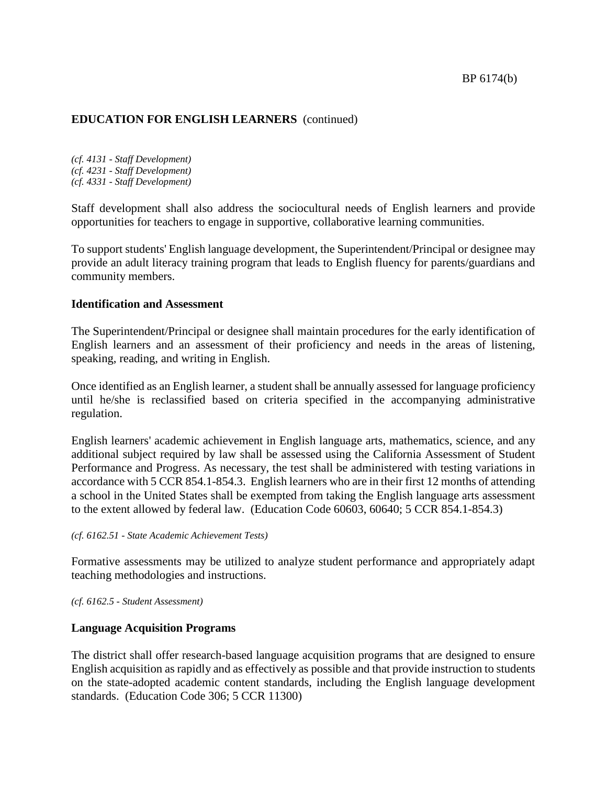*(cf. 4131 - Staff Development) (cf. 4231 - Staff Development) (cf. 4331 - Staff Development)*

Staff development shall also address the sociocultural needs of English learners and provide opportunities for teachers to engage in supportive, collaborative learning communities.

To support students' English language development, the Superintendent/Principal or designee may provide an adult literacy training program that leads to English fluency for parents/guardians and community members.

### **Identification and Assessment**

The Superintendent/Principal or designee shall maintain procedures for the early identification of English learners and an assessment of their proficiency and needs in the areas of listening, speaking, reading, and writing in English.

Once identified as an English learner, a student shall be annually assessed for language proficiency until he/she is reclassified based on criteria specified in the accompanying administrative regulation.

English learners' academic achievement in English language arts, mathematics, science, and any additional subject required by law shall be assessed using the California Assessment of Student Performance and Progress. As necessary, the test shall be administered with testing variations in accordance with 5 CCR 854.1-854.3. English learners who are in their first 12 months of attending a school in the United States shall be exempted from taking the English language arts assessment to the extent allowed by federal law. (Education Code 60603, 60640; 5 CCR 854.1-854.3)

*(cf. 6162.51 - State Academic Achievement Tests)*

Formative assessments may be utilized to analyze student performance and appropriately adapt teaching methodologies and instructions.

*(cf. 6162.5 - Student Assessment)*

## **Language Acquisition Programs**

The district shall offer research-based language acquisition programs that are designed to ensure English acquisition as rapidly and as effectively as possible and that provide instruction to students on the state-adopted academic content standards, including the English language development standards. (Education Code 306; 5 CCR 11300)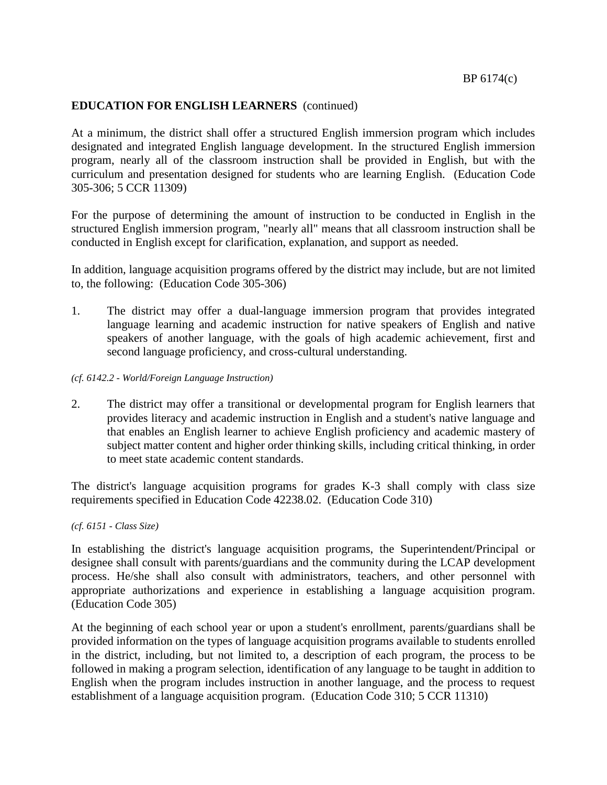At a minimum, the district shall offer a structured English immersion program which includes designated and integrated English language development. In the structured English immersion program, nearly all of the classroom instruction shall be provided in English, but with the curriculum and presentation designed for students who are learning English. (Education Code 305-306; 5 CCR 11309)

For the purpose of determining the amount of instruction to be conducted in English in the structured English immersion program, "nearly all" means that all classroom instruction shall be conducted in English except for clarification, explanation, and support as needed.

In addition, language acquisition programs offered by the district may include, but are not limited to, the following: (Education Code 305-306)

1. The district may offer a dual-language immersion program that provides integrated language learning and academic instruction for native speakers of English and native speakers of another language, with the goals of high academic achievement, first and second language proficiency, and cross-cultural understanding.

### *(cf. 6142.2 - World/Foreign Language Instruction)*

2. The district may offer a transitional or developmental program for English learners that provides literacy and academic instruction in English and a student's native language and that enables an English learner to achieve English proficiency and academic mastery of subject matter content and higher order thinking skills, including critical thinking, in order to meet state academic content standards.

The district's language acquisition programs for grades K-3 shall comply with class size requirements specified in Education Code 42238.02. (Education Code 310)

*(cf. 6151 - Class Size)*

In establishing the district's language acquisition programs, the Superintendent/Principal or designee shall consult with parents/guardians and the community during the LCAP development process. He/she shall also consult with administrators, teachers, and other personnel with appropriate authorizations and experience in establishing a language acquisition program. (Education Code 305)

At the beginning of each school year or upon a student's enrollment, parents/guardians shall be provided information on the types of language acquisition programs available to students enrolled in the district, including, but not limited to, a description of each program, the process to be followed in making a program selection, identification of any language to be taught in addition to English when the program includes instruction in another language, and the process to request establishment of a language acquisition program. (Education Code 310; 5 CCR 11310)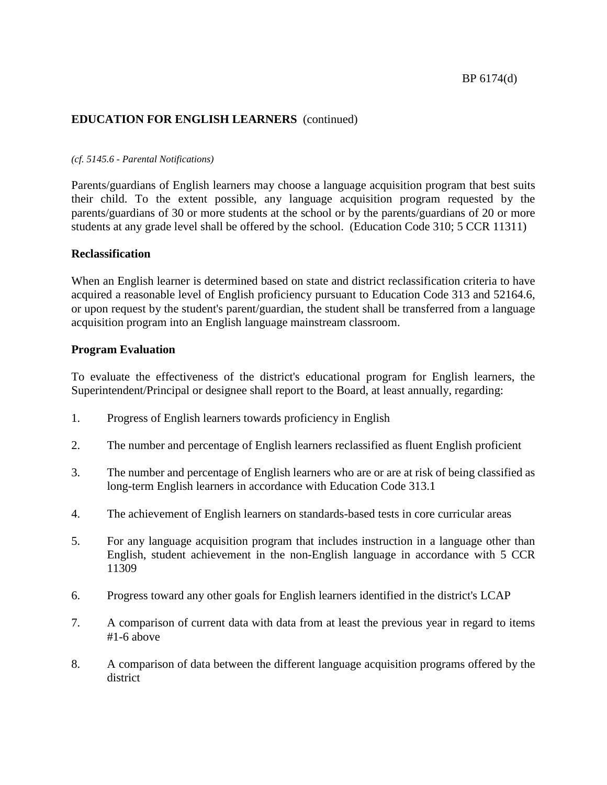#### *(cf. 5145.6 - Parental Notifications)*

Parents/guardians of English learners may choose a language acquisition program that best suits their child. To the extent possible, any language acquisition program requested by the parents/guardians of 30 or more students at the school or by the parents/guardians of 20 or more students at any grade level shall be offered by the school. (Education Code 310; 5 CCR 11311)

### **Reclassification**

When an English learner is determined based on state and district reclassification criteria to have acquired a reasonable level of English proficiency pursuant to Education Code 313 and 52164.6, or upon request by the student's parent/guardian, the student shall be transferred from a language acquisition program into an English language mainstream classroom.

### **Program Evaluation**

To evaluate the effectiveness of the district's educational program for English learners, the Superintendent/Principal or designee shall report to the Board, at least annually, regarding:

- 1. Progress of English learners towards proficiency in English
- 2. The number and percentage of English learners reclassified as fluent English proficient
- 3. The number and percentage of English learners who are or are at risk of being classified as long-term English learners in accordance with Education Code 313.1
- 4. The achievement of English learners on standards-based tests in core curricular areas
- 5. For any language acquisition program that includes instruction in a language other than English, student achievement in the non-English language in accordance with 5 CCR 11309
- 6. Progress toward any other goals for English learners identified in the district's LCAP
- 7. A comparison of current data with data from at least the previous year in regard to items #1-6 above
- 8. A comparison of data between the different language acquisition programs offered by the district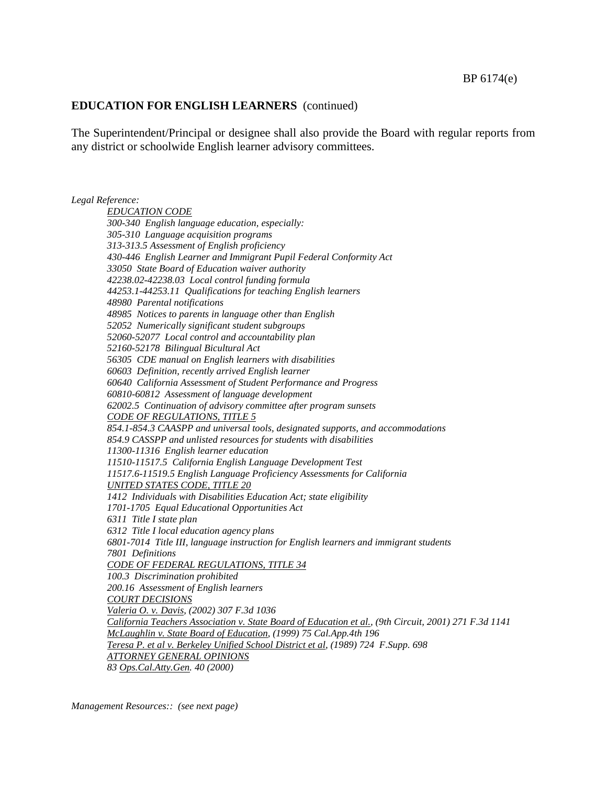The Superintendent/Principal or designee shall also provide the Board with regular reports from any district or schoolwide English learner advisory committees.

*Legal Reference: EDUCATION CODE 300-340 English language education, especially: 305-310 Language acquisition programs 313-313.5 Assessment of English proficiency 430-446 English Learner and Immigrant Pupil Federal Conformity Act 33050 State Board of Education waiver authority 42238.02-42238.03 Local control funding formula 44253.1-44253.11 Qualifications for teaching English learners 48980 Parental notifications 48985 Notices to parents in language other than English 52052 Numerically significant student subgroups 52060-52077 Local control and accountability plan 52160-52178 Bilingual Bicultural Act 56305 CDE manual on English learners with disabilities 60603 Definition, recently arrived English learner 60640 California Assessment of Student Performance and Progress 60810-60812 Assessment of language development 62002.5 Continuation of advisory committee after program sunsets CODE OF REGULATIONS, TITLE 5 854.1-854.3 CAASPP and universal tools, designated supports, and accommodations 854.9 CASSPP and unlisted resources for students with disabilities 11300-11316 English learner education 11510-11517.5 California English Language Development Test 11517.6-11519.5 English Language Proficiency Assessments for California UNITED STATES CODE, TITLE 20 1412 Individuals with Disabilities Education Act; state eligibility 1701-1705 Equal Educational Opportunities Act 6311 Title I state plan 6312 Title I local education agency plans 6801-7014 Title III, language instruction for English learners and immigrant students 7801 Definitions CODE OF FEDERAL REGULATIONS, TITLE 34 100.3 Discrimination prohibited 200.16 Assessment of English learners COURT DECISIONS Valeria O. v. Davis, (2002) 307 F.3d 1036 California Teachers Association v. State Board of Education et al., (9th Circuit, 2001) 271 F.3d 1141 McLaughlin v. State Board of Education, (1999) 75 Cal.App.4th 196 Teresa P. et al v. Berkeley Unified School District et al, (1989) 724 F.Supp. 698 ATTORNEY GENERAL OPINIONS 83 Ops.Cal.Atty.Gen. 40 (2000)*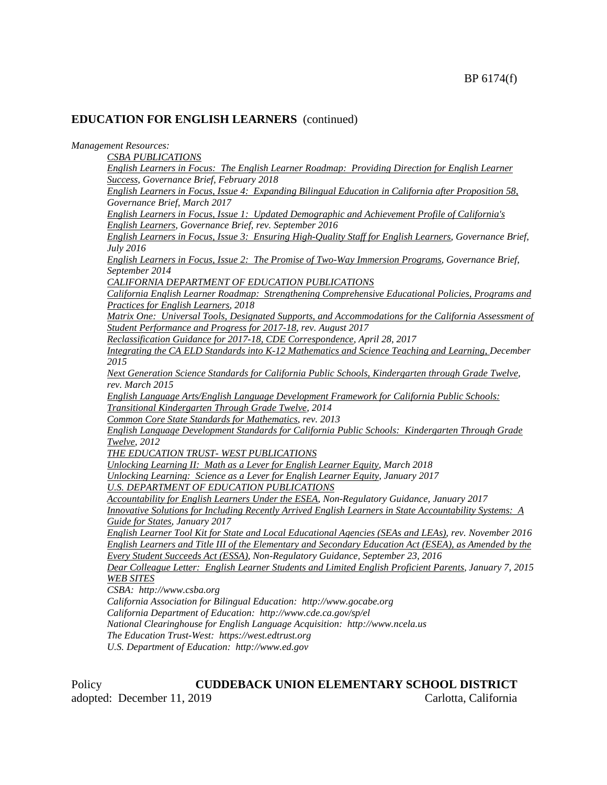*Management Resources:*

| neni iyesomrces.                                                                                        |
|---------------------------------------------------------------------------------------------------------|
| <b>CSBA PUBLICATIONS</b>                                                                                |
| English Learners in Focus: The English Learner Roadmap: Providing Direction for English Learner         |
| Success, Governance Brief, February 2018                                                                |
| English Learners in Focus, Issue 4: Expanding Bilingual Education in California after Proposition 58,   |
| Governance Brief, March 2017                                                                            |
| English Learners in Focus, Issue 1: Updated Demographic and Achievement Profile of California's         |
| English Learners, Governance Brief, rev. September 2016                                                 |
| English Learners in Focus, Issue 3: Ensuring High-Quality Staff for English Learners, Governance Brief, |
| July 2016                                                                                               |
| English Learners in Focus, Issue 2: The Promise of Two-Way Immersion Programs, Governance Brief,        |
| September 2014                                                                                          |
| CALIFORNIA DEPARTMENT OF EDUCATION PUBLICATIONS                                                         |
| California English Learner Roadmap: Strengthening Comprehensive Educational Policies, Programs and      |
| Practices for English Learners, 2018                                                                    |
| Matrix One: Universal Tools, Designated Supports, and Accommodations for the California Assessment of   |
| Student Performance and Progress for 2017-18, rev. August 2017                                          |
| Reclassification Guidance for 2017-18, CDE Correspondence, April 28, 2017                               |
| Integrating the CA ELD Standards into K-12 Mathematics and Science Teaching and Learning, December      |
| 2015                                                                                                    |
| Next Generation Science Standards for California Public Schools, Kindergarten through Grade Twelve,     |
| rev. March 2015                                                                                         |
| English Language Arts/English Language Development Framework for California Public Schools:             |
| Transitional Kindergarten Through Grade Twelve, 2014                                                    |
| Common Core State Standards for Mathematics, rev. 2013                                                  |
| English Language Development Standards for California Public Schools: Kindergarten Through Grade        |
| Twelve, 2012                                                                                            |
| THE EDUCATION TRUST-WEST PUBLICATIONS                                                                   |
| Unlocking Learning II: Math as a Lever for English Learner Equity, March 2018                           |
| Unlocking Learning: Science as a Lever for English Learner Equity, January 2017                         |
| <b>U.S. DEPARTMENT OF EDUCATION PUBLICATIONS</b>                                                        |
| Accountability for English Learners Under the ESEA, Non-Regulatory Guidance, January 2017               |
| Innovative Solutions for Including Recently Arrived English Learners in State Accountability Systems: A |
| Guide for States, January 2017                                                                          |
| English Learner Tool Kit for State and Local Educational Agencies (SEAs and LEAs), rev. November 2016   |
| English Learners and Title III of the Elementary and Secondary Education Act (ESEA), as Amended by the  |
| Every Student Succeeds Act (ESSA), Non-Regulatory Guidance, September 23, 2016                          |
| Dear Colleague Letter: English Learner Students and Limited English Proficient Parents, January 7, 2015 |
| <b>WEB SITES</b>                                                                                        |
| CSBA: http://www.csba.org                                                                               |
| California Association for Bilingual Education: http://www.gocabe.org                                   |
| California Department of Education: http://www.cde.ca.gov/sp/el                                         |
| National Clearinghouse for English Language Acquisition: http://www.ncela.us                            |
| The Education Trust-West: https://west.edtrust.org                                                      |

*U.S. Department of Education: [http://www.ed.gov](http://www.ed.gov/)*

Policy **CUDDEBACK UNION ELEMENTARY SCHOOL DISTRICT**<br>adopted: December 11, 2019 Carlotta, California adopted: December 11, 2019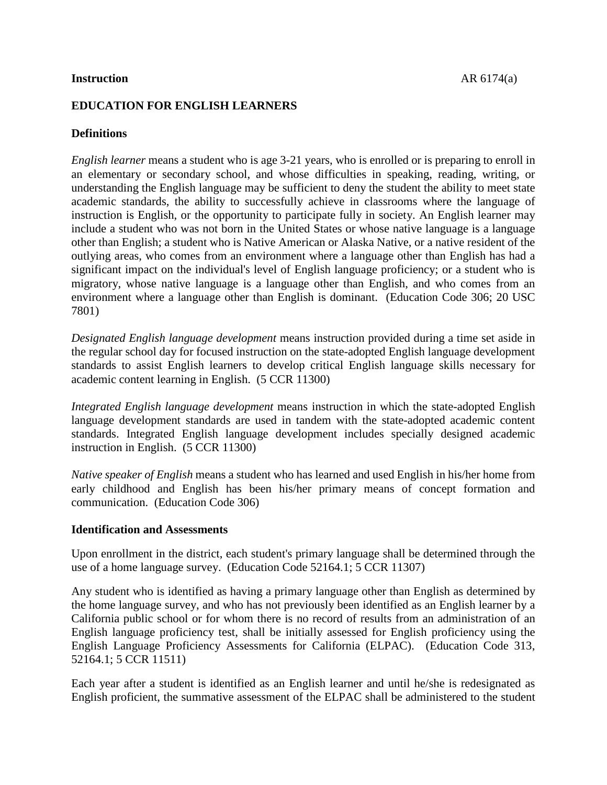### **Instruction** AR 6174(a)

# **EDUCATION FOR ENGLISH LEARNERS**

# **Definitions**

*English learner* means a student who is age 3-21 years, who is enrolled or is preparing to enroll in an elementary or secondary school, and whose difficulties in speaking, reading, writing, or understanding the English language may be sufficient to deny the student the ability to meet state academic standards, the ability to successfully achieve in classrooms where the language of instruction is English, or the opportunity to participate fully in society. An English learner may include a student who was not born in the United States or whose native language is a language other than English; a student who is Native American or Alaska Native, or a native resident of the outlying areas, who comes from an environment where a language other than English has had a significant impact on the individual's level of English language proficiency; or a student who is migratory, whose native language is a language other than English, and who comes from an environment where a language other than English is dominant. (Education Code 306; 20 USC 7801)

*Designated English language development* means instruction provided during a time set aside in the regular school day for focused instruction on the state-adopted English language development standards to assist English learners to develop critical English language skills necessary for academic content learning in English. (5 CCR 11300)

*Integrated English language development* means instruction in which the state-adopted English language development standards are used in tandem with the state-adopted academic content standards. Integrated English language development includes specially designed academic instruction in English. (5 CCR 11300)

*Native speaker of English* means a student who has learned and used English in his/her home from early childhood and English has been his/her primary means of concept formation and communication. (Education Code 306)

### **Identification and Assessments**

Upon enrollment in the district, each student's primary language shall be determined through the use of a home language survey. (Education Code 52164.1; 5 CCR 11307)

Any student who is identified as having a primary language other than English as determined by the home language survey, and who has not previously been identified as an English learner by a California public school or for whom there is no record of results from an administration of an English language proficiency test, shall be initially assessed for English proficiency using the English Language Proficiency Assessments for California (ELPAC). (Education Code 313, 52164.1; 5 CCR 11511)

Each year after a student is identified as an English learner and until he/she is redesignated as English proficient, the summative assessment of the ELPAC shall be administered to the student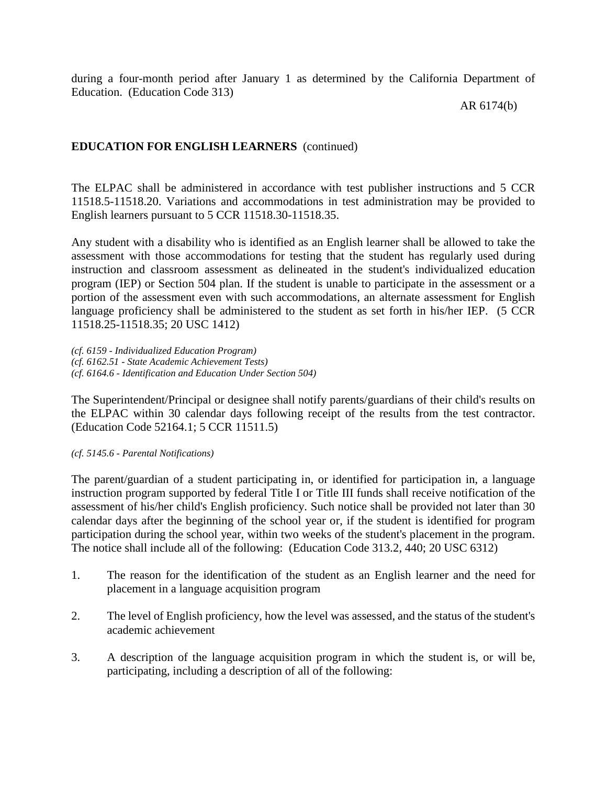during a four-month period after January 1 as determined by the California Department of Education. (Education Code 313)

AR 6174(b)

# **EDUCATION FOR ENGLISH LEARNERS** (continued)

The ELPAC shall be administered in accordance with test publisher instructions and 5 CCR 11518.5-11518.20. Variations and accommodations in test administration may be provided to English learners pursuant to 5 CCR 11518.30-11518.35.

Any student with a disability who is identified as an English learner shall be allowed to take the assessment with those accommodations for testing that the student has regularly used during instruction and classroom assessment as delineated in the student's individualized education program (IEP) or Section 504 plan. If the student is unable to participate in the assessment or a portion of the assessment even with such accommodations, an alternate assessment for English language proficiency shall be administered to the student as set forth in his/her IEP. (5 CCR 11518.25-11518.35; 20 USC 1412)

*(cf. 6159 - Individualized Education Program) (cf. 6162.51 - State Academic Achievement Tests) (cf. 6164.6 - Identification and Education Under Section 504)*

The Superintendent/Principal or designee shall notify parents/guardians of their child's results on the ELPAC within 30 calendar days following receipt of the results from the test contractor. (Education Code 52164.1; 5 CCR 11511.5)

## *(cf. 5145.6 - Parental Notifications)*

The parent/guardian of a student participating in, or identified for participation in, a language instruction program supported by federal Title I or Title III funds shall receive notification of the assessment of his/her child's English proficiency. Such notice shall be provided not later than 30 calendar days after the beginning of the school year or, if the student is identified for program participation during the school year, within two weeks of the student's placement in the program. The notice shall include all of the following: (Education Code 313.2, 440; 20 USC 6312)

- 1. The reason for the identification of the student as an English learner and the need for placement in a language acquisition program
- 2. The level of English proficiency, how the level was assessed, and the status of the student's academic achievement
- 3. A description of the language acquisition program in which the student is, or will be, participating, including a description of all of the following: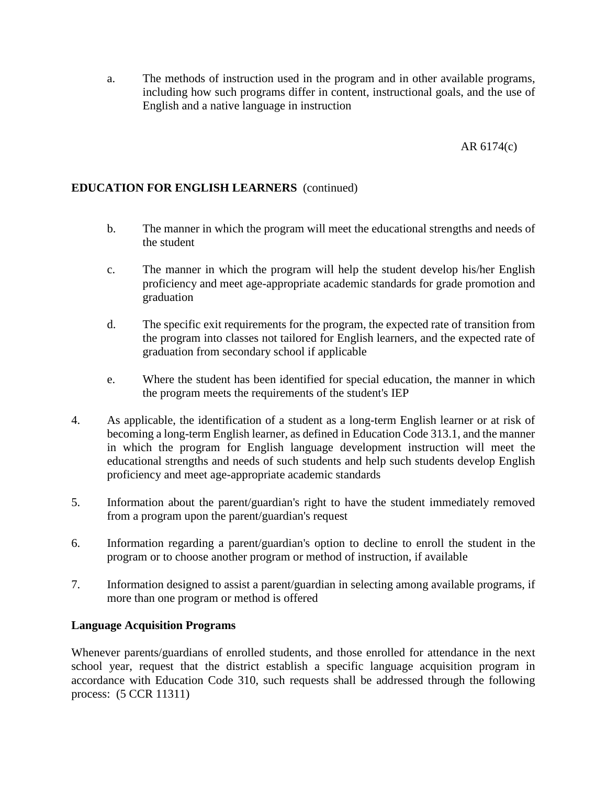a. The methods of instruction used in the program and in other available programs, including how such programs differ in content, instructional goals, and the use of English and a native language in instruction

# AR 6174(c)

# **EDUCATION FOR ENGLISH LEARNERS** (continued)

- b. The manner in which the program will meet the educational strengths and needs of the student
- c. The manner in which the program will help the student develop his/her English proficiency and meet age-appropriate academic standards for grade promotion and graduation
- d. The specific exit requirements for the program, the expected rate of transition from the program into classes not tailored for English learners, and the expected rate of graduation from secondary school if applicable
- e. Where the student has been identified for special education, the manner in which the program meets the requirements of the student's IEP
- 4. As applicable, the identification of a student as a long-term English learner or at risk of becoming a long-term English learner, as defined in Education Code 313.1, and the manner in which the program for English language development instruction will meet the educational strengths and needs of such students and help such students develop English proficiency and meet age-appropriate academic standards
- 5. Information about the parent/guardian's right to have the student immediately removed from a program upon the parent/guardian's request
- 6. Information regarding a parent/guardian's option to decline to enroll the student in the program or to choose another program or method of instruction, if available
- 7. Information designed to assist a parent/guardian in selecting among available programs, if more than one program or method is offered

## **Language Acquisition Programs**

Whenever parents/guardians of enrolled students, and those enrolled for attendance in the next school year, request that the district establish a specific language acquisition program in accordance with Education Code 310, such requests shall be addressed through the following process: (5 CCR 11311)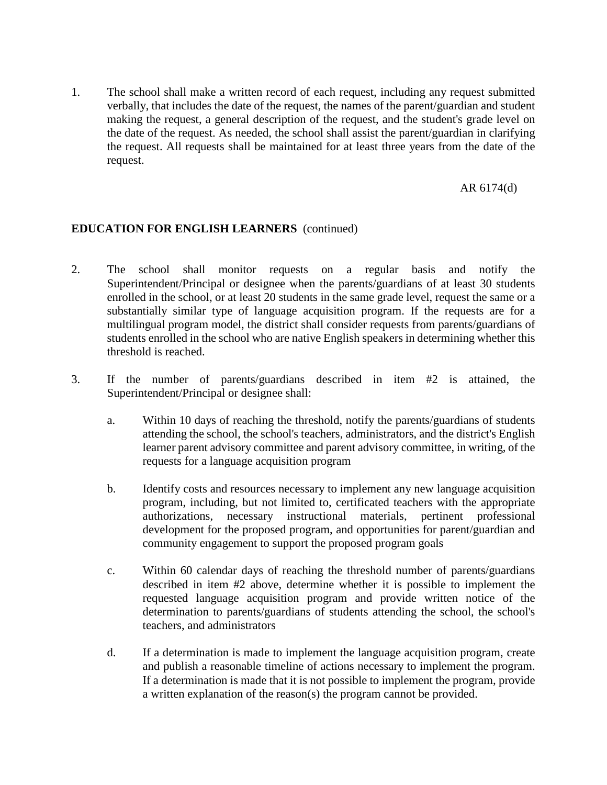1. The school shall make a written record of each request, including any request submitted verbally, that includes the date of the request, the names of the parent/guardian and student making the request, a general description of the request, and the student's grade level on the date of the request. As needed, the school shall assist the parent/guardian in clarifying the request. All requests shall be maintained for at least three years from the date of the request.

### AR 6174(d)

## **EDUCATION FOR ENGLISH LEARNERS** (continued)

- 2. The school shall monitor requests on a regular basis and notify the Superintendent/Principal or designee when the parents/guardians of at least 30 students enrolled in the school, or at least 20 students in the same grade level, request the same or a substantially similar type of language acquisition program. If the requests are for a multilingual program model, the district shall consider requests from parents/guardians of students enrolled in the school who are native English speakers in determining whether this threshold is reached.
- 3. If the number of parents/guardians described in item #2 is attained, the Superintendent/Principal or designee shall:
	- a. Within 10 days of reaching the threshold, notify the parents/guardians of students attending the school, the school's teachers, administrators, and the district's English learner parent advisory committee and parent advisory committee, in writing, of the requests for a language acquisition program
	- b. Identify costs and resources necessary to implement any new language acquisition program, including, but not limited to, certificated teachers with the appropriate authorizations, necessary instructional materials, pertinent professional development for the proposed program, and opportunities for parent/guardian and community engagement to support the proposed program goals
	- c. Within 60 calendar days of reaching the threshold number of parents/guardians described in item #2 above, determine whether it is possible to implement the requested language acquisition program and provide written notice of the determination to parents/guardians of students attending the school, the school's teachers, and administrators
	- d. If a determination is made to implement the language acquisition program, create and publish a reasonable timeline of actions necessary to implement the program. If a determination is made that it is not possible to implement the program, provide a written explanation of the reason(s) the program cannot be provided.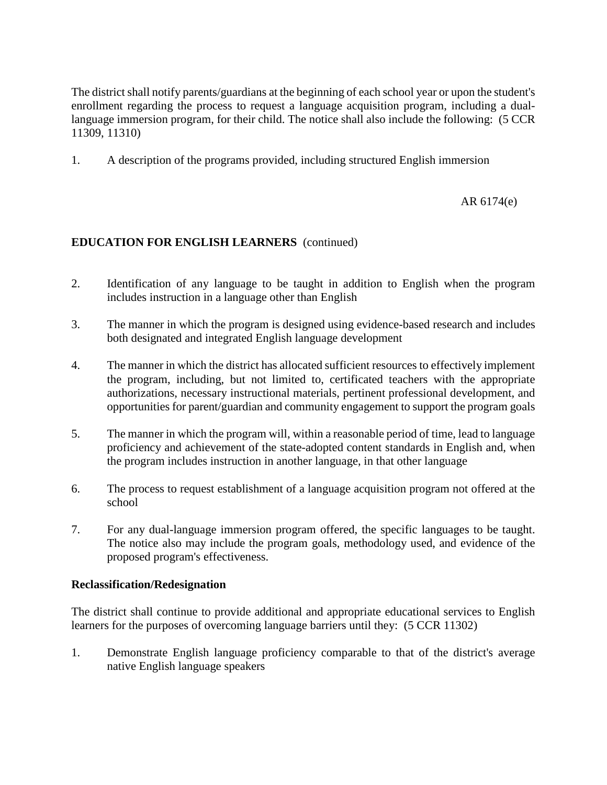The district shall notify parents/guardians at the beginning of each school year or upon the student's enrollment regarding the process to request a language acquisition program, including a duallanguage immersion program, for their child. The notice shall also include the following: (5 CCR 11309, 11310)

1. A description of the programs provided, including structured English immersion

# AR 6174(e)

# **EDUCATION FOR ENGLISH LEARNERS** (continued)

- 2. Identification of any language to be taught in addition to English when the program includes instruction in a language other than English
- 3. The manner in which the program is designed using evidence-based research and includes both designated and integrated English language development
- 4. The manner in which the district has allocated sufficient resources to effectively implement the program, including, but not limited to, certificated teachers with the appropriate authorizations, necessary instructional materials, pertinent professional development, and opportunities for parent/guardian and community engagement to support the program goals
- 5. The manner in which the program will, within a reasonable period of time, lead to language proficiency and achievement of the state-adopted content standards in English and, when the program includes instruction in another language, in that other language
- 6. The process to request establishment of a language acquisition program not offered at the school
- 7. For any dual-language immersion program offered, the specific languages to be taught. The notice also may include the program goals, methodology used, and evidence of the proposed program's effectiveness.

## **Reclassification/Redesignation**

The district shall continue to provide additional and appropriate educational services to English learners for the purposes of overcoming language barriers until they: (5 CCR 11302)

1. Demonstrate English language proficiency comparable to that of the district's average native English language speakers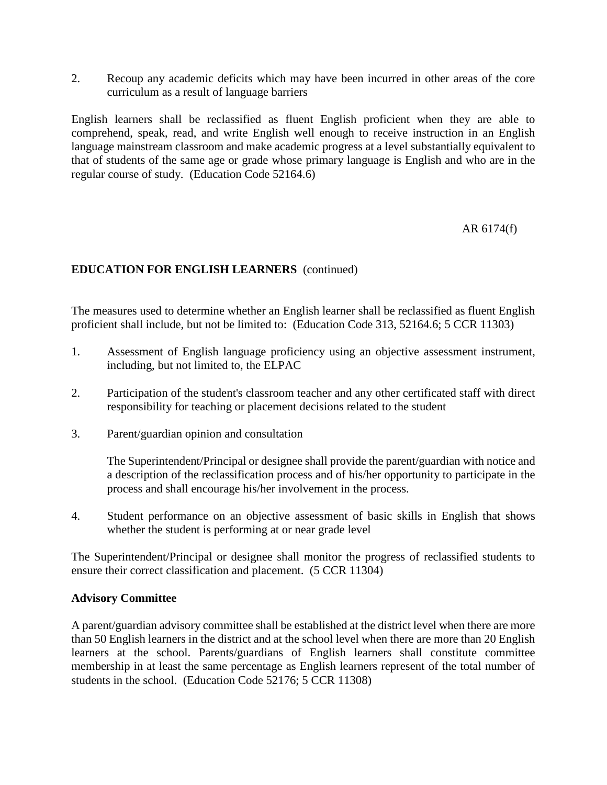2. Recoup any academic deficits which may have been incurred in other areas of the core curriculum as a result of language barriers

English learners shall be reclassified as fluent English proficient when they are able to comprehend, speak, read, and write English well enough to receive instruction in an English language mainstream classroom and make academic progress at a level substantially equivalent to that of students of the same age or grade whose primary language is English and who are in the regular course of study. (Education Code 52164.6)

AR 6174(f)

# **EDUCATION FOR ENGLISH LEARNERS** (continued)

The measures used to determine whether an English learner shall be reclassified as fluent English proficient shall include, but not be limited to: (Education Code 313, 52164.6; 5 CCR 11303)

- 1. Assessment of English language proficiency using an objective assessment instrument, including, but not limited to, the ELPAC
- 2. Participation of the student's classroom teacher and any other certificated staff with direct responsibility for teaching or placement decisions related to the student
- 3. Parent/guardian opinion and consultation

The Superintendent/Principal or designee shall provide the parent/guardian with notice and a description of the reclassification process and of his/her opportunity to participate in the process and shall encourage his/her involvement in the process.

4. Student performance on an objective assessment of basic skills in English that shows whether the student is performing at or near grade level

The Superintendent/Principal or designee shall monitor the progress of reclassified students to ensure their correct classification and placement. (5 CCR 11304)

## **Advisory Committee**

A parent/guardian advisory committee shall be established at the district level when there are more than 50 English learners in the district and at the school level when there are more than 20 English learners at the school. Parents/guardians of English learners shall constitute committee membership in at least the same percentage as English learners represent of the total number of students in the school. (Education Code 52176; 5 CCR 11308)